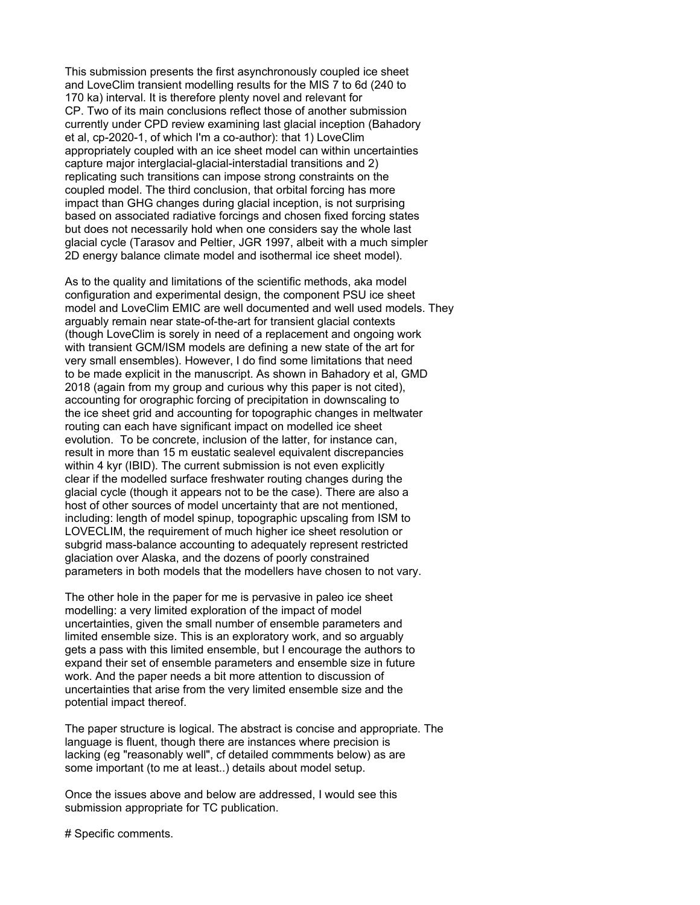This submission presents the first asynchronously coupled ice sheet and LoveClim transient modelling results for the MIS 7 to 6d (240 to 170 ka) interval. It is therefore plenty novel and relevant for CP. Two of its main conclusions reflect those of another submission currently under CPD review examining last glacial inception (Bahadory et al, cp-2020-1, of which I'm a co-author): that 1) LoveClim appropriately coupled with an ice sheet model can within uncertainties capture major interglacial-glacial-interstadial transitions and 2) replicating such transitions can impose strong constraints on the coupled model. The third conclusion, that orbital forcing has more impact than GHG changes during glacial inception, is not surprising based on associated radiative forcings and chosen fixed forcing states but does not necessarily hold when one considers say the whole last glacial cycle (Tarasov and Peltier, JGR 1997, albeit with a much simpler 2D energy balance climate model and isothermal ice sheet model).

As to the quality and limitations of the scientific methods, aka model configuration and experimental design, the component PSU ice sheet model and LoveClim EMIC are well documented and well used models. They arguably remain near state-of-the-art for transient glacial contexts (though LoveClim is sorely in need of a replacement and ongoing work with transient GCM/ISM models are defining a new state of the art for very small ensembles). However, I do find some limitations that need to be made explicit in the manuscript. As shown in Bahadory et al, GMD 2018 (again from my group and curious why this paper is not cited), accounting for orographic forcing of precipitation in downscaling to the ice sheet grid and accounting for topographic changes in meltwater routing can each have significant impact on modelled ice sheet evolution. To be concrete, inclusion of the latter, for instance can, result in more than 15 m eustatic sealevel equivalent discrepancies within 4 kyr (IBID). The current submission is not even explicitly clear if the modelled surface freshwater routing changes during the glacial cycle (though it appears not to be the case). There are also a host of other sources of model uncertainty that are not mentioned, including: length of model spinup, topographic upscaling from ISM to LOVECLIM, the requirement of much higher ice sheet resolution or subgrid mass-balance accounting to adequately represent restricted glaciation over Alaska, and the dozens of poorly constrained parameters in both models that the modellers have chosen to not vary.

The other hole in the paper for me is pervasive in paleo ice sheet modelling: a very limited exploration of the impact of model uncertainties, given the small number of ensemble parameters and limited ensemble size. This is an exploratory work, and so arguably gets a pass with this limited ensemble, but I encourage the authors to expand their set of ensemble parameters and ensemble size in future work. And the paper needs a bit more attention to discussion of uncertainties that arise from the very limited ensemble size and the potential impact thereof.

The paper structure is logical. The abstract is concise and appropriate. The language is fluent, though there are instances where precision is lacking (eg "reasonably well", cf detailed commments below) as are some important (to me at least..) details about model setup.

Once the issues above and below are addressed, I would see this submission appropriate for TC publication.

# Specific comments.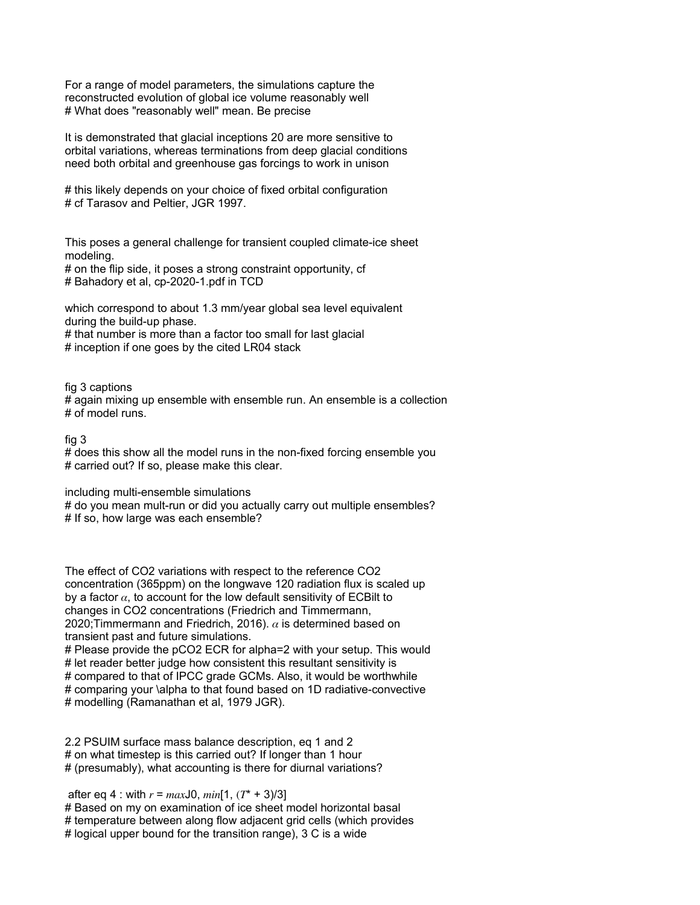For a range of model parameters, the simulations capture the reconstructed evolution of global ice volume reasonably well # What does "reasonably well" mean. Be precise

It is demonstrated that glacial inceptions 20 are more sensitive to orbital variations, whereas terminations from deep glacial conditions need both orbital and greenhouse gas forcings to work in unison

# this likely depends on your choice of fixed orbital configuration # cf Tarasov and Peltier, JGR 1997.

This poses a general challenge for transient coupled climate-ice sheet modeling.

# on the flip side, it poses a strong constraint opportunity, cf # Bahadory et al, cp-2020-1.pdf in TCD

which correspond to about 1.3 mm/year global sea level equivalent during the build-up phase.

# that number is more than a factor too small for last glacial # inception if one goes by the cited LR04 stack

fig 3 captions

# again mixing up ensemble with ensemble run. An ensemble is a collection # of model runs.

fig 3

# does this show all the model runs in the non-fixed forcing ensemble you # carried out? If so, please make this clear.

including multi-ensemble simulations

# do you mean mult-run or did you actually carry out multiple ensembles? # If so, how large was each ensemble?

The effect of CO2 variations with respect to the reference CO2 concentration (365ppm) on the longwave 120 radiation flux is scaled up by a factor  $\alpha$ , to account for the low default sensitivity of ECBilt to changes in CO2 concentrations (Friedrich and Timmermann, 2020;Timmermann and Friedrich, 2016).  $\alpha$  is determined based on transient past and future simulations.

# Please provide the pCO2 ECR for alpha=2 with your setup. This would # let reader better judge how consistent this resultant sensitivity is # compared to that of IPCC grade GCMs. Also, it would be worthwhile # comparing your \alpha to that found based on 1D radiative-convective # modelling (Ramanathan et al, 1979 JGR).

2.2 PSUIM surface mass balance description, eq 1 and 2 # on what timestep is this carried out? If longer than 1 hour # (presumably), what accounting is there for diurnal variations?

after eq 4 : with  $r = max$ J0,  $min[1, (T^* + 3)/3]$ # Based on my on examination of ice sheet model horizontal basal # temperature between along flow adjacent grid cells (which provides # logical upper bound for the transition range), 3 C is a wide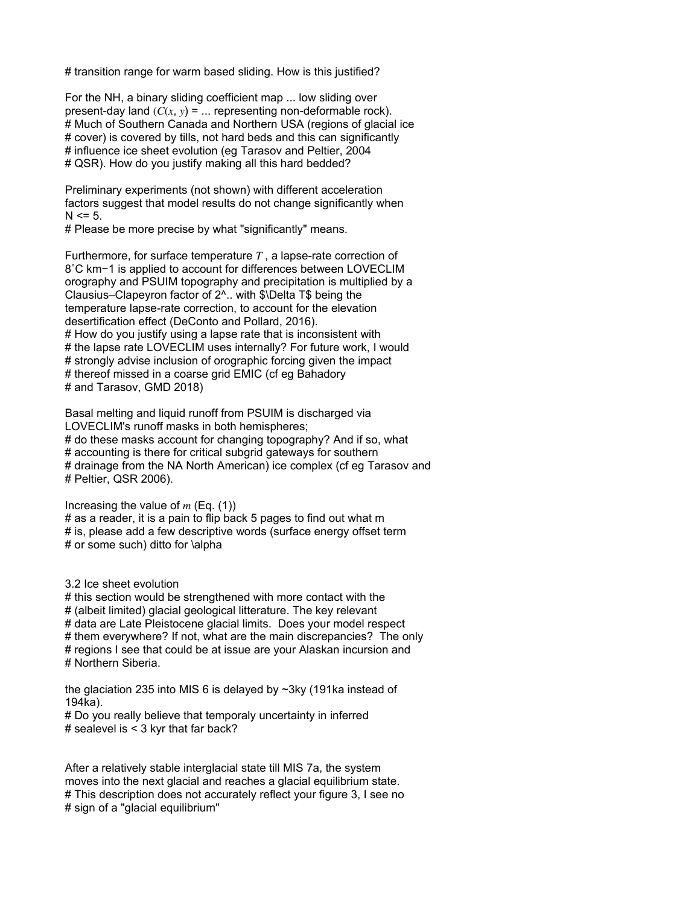# transition range for warm based sliding. How is this justified?

For the NH, a binary sliding coefficient map ... low sliding over present-day land  $(C(x, y) = ...$  representing non-deformable rock). # Much of Southern Canada and Northern USA (regions of glacial ice # cover) is covered by tills, not hard beds and this can significantly # influence ice sheet evolution (eg Tarasov and Peltier, 2004 # QSR). How do you justify making all this hard bedded?

Preliminary experiments (not shown) with different acceleration factors suggest that model results do not change significantly when  $N \le 5$ .

# Please be more precise by what "significantly" means.

Furthermore, for surface temperature  $T$ , a lapse-rate correction of 8˚C km−1 is applied to account for differences between LOVECLIM orography and PSUIM topography and precipitation is multiplied by a Clausius–Clapeyron factor of 2^.. with \$\Delta T\$ being the temperature lapse-rate correction, to account for the elevation desertification effect (DeConto and Pollard, 2016). # How do you justify using a lapse rate that is inconsistent with # the lapse rate LOVECLIM uses internally? For future work, I would # strongly advise inclusion of orographic forcing given the impact # thereof missed in a coarse grid EMIC (cf eg Bahadory # and Tarasov, GMD 2018)

Basal melting and liquid runoff from PSUIM is discharged via LOVECLIM's runoff masks in both hemispheres; # do these masks account for changing topography? And if so, what # accounting is there for critical subgrid gateways for southern # drainage from the NA North American) ice complex (cf eg Tarasov and

# Peltier, QSR 2006).

Increasing the value of  $m$  (Eq. (1))

# as a reader, it is a pain to flip back 5 pages to find out what m # is, please add a few descriptive words (surface energy offset term # or some such) ditto for \alpha

3.2 Ice sheet evolution

# this section would be strengthened with more contact with the # (albeit limited) glacial geological litterature. The key relevant # data are Late Pleistocene glacial limits. Does your model respect # them everywhere? If not, what are the main discrepancies? The only # regions I see that could be at issue are your Alaskan incursion and # Northern Siberia.

the glaciation 235 into MIS 6 is delayed by ~3ky (191ka instead of 194ka).

# Do you really believe that temporaly uncertainty in inferred # sealevel is < 3 kyr that far back?

After a relatively stable interglacial state till MIS 7a, the system moves into the next glacial and reaches a glacial equilibrium state. # This description does not accurately reflect your figure 3, I see no # sign of a "glacial equilibrium"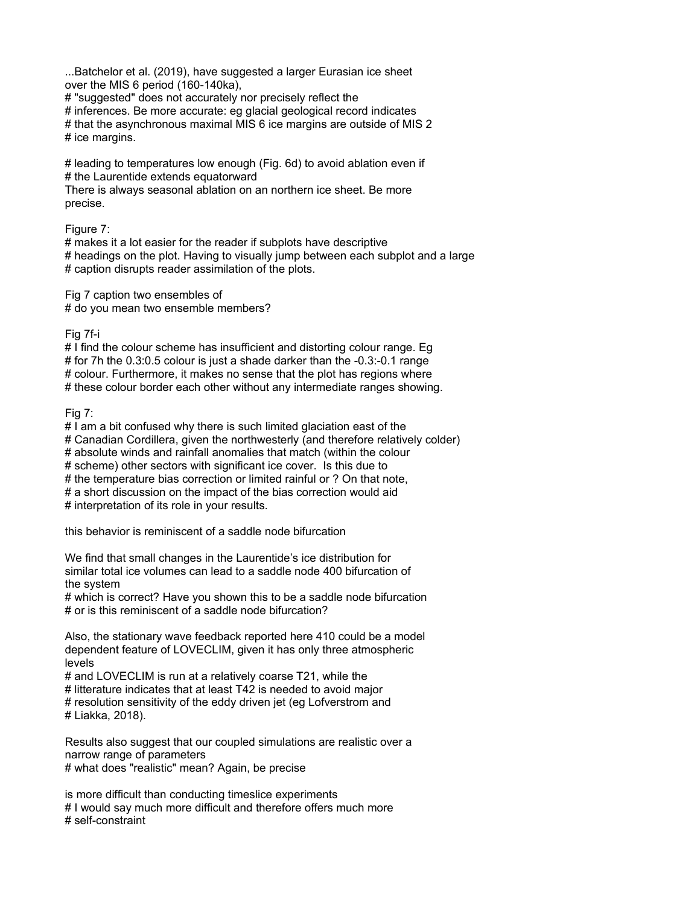...Batchelor et al. (2019), have suggested a larger Eurasian ice sheet over the MIS 6 period (160-140ka),

# "suggested" does not accurately nor precisely reflect the

# inferences. Be more accurate: eg glacial geological record indicates # that the asynchronous maximal MIS 6 ice margins are outside of MIS 2 # ice margins.

# leading to temperatures low enough (Fig. 6d) to avoid ablation even if # the Laurentide extends equatorward

There is always seasonal ablation on an northern ice sheet. Be more precise.

Figure 7:

# makes it a lot easier for the reader if subplots have descriptive # headings on the plot. Having to visually jump between each subplot and a large # caption disrupts reader assimilation of the plots.

Fig 7 caption two ensembles of # do you mean two ensemble members?

Fig 7f-i

# I find the colour scheme has insufficient and distorting colour range. Eg # for 7h the 0.3:0.5 colour is just a shade darker than the -0.3:-0.1 range # colour. Furthermore, it makes no sense that the plot has regions where # these colour border each other without any intermediate ranges showing.

Fig 7:

# I am a bit confused why there is such limited glaciation east of the # Canadian Cordillera, given the northwesterly (and therefore relatively colder) # absolute winds and rainfall anomalies that match (within the colour # scheme) other sectors with significant ice cover. Is this due to # the temperature bias correction or limited rainful or ? On that note, # a short discussion on the impact of the bias correction would aid # interpretation of its role in your results.

this behavior is reminiscent of a saddle node bifurcation

We find that small changes in the Laurentide's ice distribution for similar total ice volumes can lead to a saddle node 400 bifurcation of the system

# which is correct? Have you shown this to be a saddle node bifurcation # or is this reminiscent of a saddle node bifurcation?

Also, the stationary wave feedback reported here 410 could be a model dependent feature of LOVECLIM, given it has only three atmospheric levels

# and LOVECLIM is run at a relatively coarse T21, while the # litterature indicates that at least T42 is needed to avoid major # resolution sensitivity of the eddy driven jet (eg Lofverstrom and # Liakka, 2018).

Results also suggest that our coupled simulations are realistic over a narrow range of parameters # what does "realistic" mean? Again, be precise

is more difficult than conducting timeslice experiments # I would say much more difficult and therefore offers much more # self-constraint